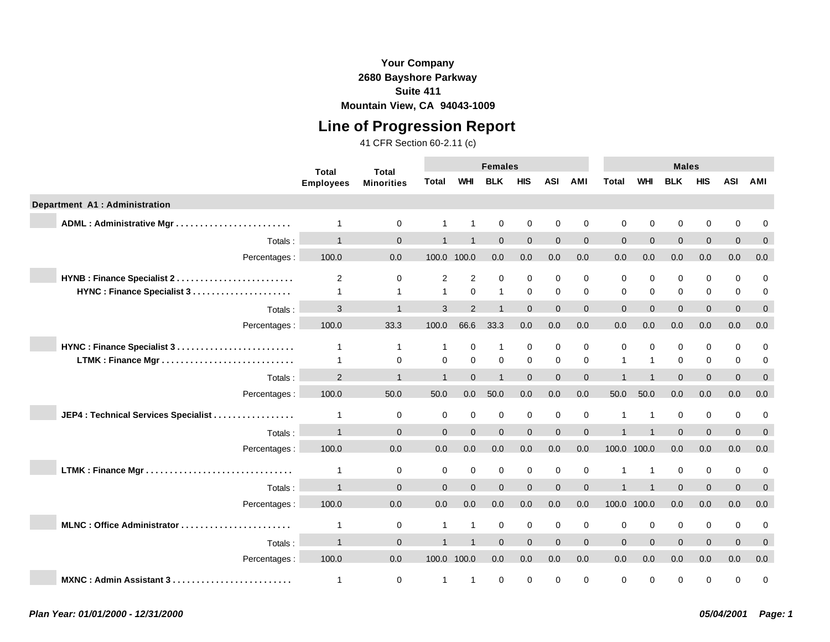### **Your Company 2680 Bayshore Parkway Suite 411**

**Mountain View, CA 94043-1009**

# **Line of Progression Report**

|                                      | <b>Total</b>     | <b>Total</b>      |                |                | <b>Females</b>          |              |             |                |             |              | <b>Males</b>   |                |            |                |
|--------------------------------------|------------------|-------------------|----------------|----------------|-------------------------|--------------|-------------|----------------|-------------|--------------|----------------|----------------|------------|----------------|
|                                      | <b>Employees</b> | <b>Minorities</b> | Total          | <b>WHI</b>     | <b>BLK</b>              | <b>HIS</b>   | <b>ASI</b>  | <b>AMI</b>     | Total       | <b>WHI</b>   | <b>BLK</b>     | <b>HIS</b>     | <b>ASI</b> | AMI            |
| Department A1 : Administration       |                  |                   |                |                |                         |              |             |                |             |              |                |                |            |                |
|                                      | $\overline{1}$   | $\mathbf 0$       |                | $\overline{1}$ | 0                       | 0            | $\mathbf 0$ | 0              | $\Omega$    | $\mathbf 0$  | $\mathbf 0$    | 0              | 0          | 0              |
| Totals:                              | $\overline{1}$   | $\mathbf{0}$      |                |                | $\Omega$                | $\mathbf{0}$ | $\Omega$    | $\mathbf 0$    | $\Omega$    | $\Omega$     | $\Omega$       | $\mathbf{0}$   | $\Omega$   | $\mathbf{0}$   |
| Percentages :                        | 100.0            | 0.0               |                | 100.0 100.0    | 0.0                     | 0.0          | 0.0         | 0.0            | 0.0         | 0.0          | 0.0            | 0.0            | 0.0        | 0.0            |
| HYNB : Finance Specialist 2          | 2                | $\mathbf 0$       | 2              | 2              | $\mathbf 0$             | $\mathbf 0$  | $\mathbf 0$ | 0              | $\mathbf 0$ | $\mathbf 0$  | $\mathbf 0$    | $\mathbf 0$    | 0          | $\mathbf 0$    |
|                                      | $\mathbf{1}$     | $\mathbf{1}$      | $\mathbf 1$    | $\Omega$       | $\mathbf{1}$            | $\mathbf 0$  | $\Omega$    | $\Omega$       | $\Omega$    | $\Omega$     | $\Omega$       | 0              | 0          | 0              |
| Totals:                              | 3                | $\overline{ }$    | 3              | $\mathcal{P}$  | $\overline{\mathbf{A}}$ | $\mathbf{0}$ | $\Omega$    | $\overline{0}$ | $\Omega$    | $\Omega$     | $\overline{0}$ | $\mathbf{0}$   | $\Omega$   | $\overline{0}$ |
| Percentages :                        | 100.0            | 33.3              | 100.0          | 66.6           | 33.3                    | 0.0          | 0.0         | 0.0            | 0.0         | 0.0          | 0.0            | 0.0            | 0.0        | 0.0            |
|                                      | 1                | $\mathbf{1}$      |                | $\mathbf 0$    | $\mathbf{1}$            | 0            | $\mathbf 0$ | 0              | $\mathbf 0$ | $\mathbf 0$  | $\mathbf 0$    | $\mathbf 0$    | 0          | 0              |
|                                      | $\mathbf 1$      | $\Omega$          | $\Omega$       | $\Omega$       | $\Omega$                | $\mathbf 0$  | $\Omega$    | $\Omega$       |             | $\mathbf{1}$ | $\Omega$       | $\mathbf 0$    | $\Omega$   | 0              |
| Totals:                              | 2                | $\overline{1}$    | $\overline{1}$ | $\Omega$       | $\overline{1}$          | $\mathbf{0}$ | $\Omega$    | $\mathbf 0$    |             |              | $\Omega$       | $\mathbf{0}$   | $\Omega$   | $\mathbf{0}$   |
| Percentages :                        | 100.0            | 50.0              | 50.0           | 0.0            | 50.0                    | 0.0          | 0.0         | 0.0            | 50.0        | 50.0         | 0.0            | 0.0            | 0.0        | 0.0            |
| JEP4 : Technical Services Specialist | 1                | $\mathbf 0$       | 0              | $\mathbf 0$    | 0                       | $\mathbf 0$  | $\mathbf 0$ | 0              | -1          | $\mathbf{1}$ | $\mathbf 0$    | $\mathbf 0$    | 0          | 0              |
| Totals:                              | $\overline{1}$   | $\Omega$          | $\overline{0}$ | $\Omega$       | $\Omega$                | $\mathbf{0}$ | $\Omega$    | $\mathbf 0$    |             |              | $\Omega$       | $\overline{0}$ | $\Omega$   | $\mathbf 0$    |
| Percentages :                        | 100.0            | 0.0               | 0.0            | 0.0            | 0.0                     | 0.0          | 0.0         | 0.0            | 100.0 100.0 |              | 0.0            | 0.0            | 0.0        | 0.0            |
|                                      | 1                | 0                 | 0              | $\mathbf 0$    | $\mathbf 0$             | 0            | $\mathbf 0$ | 0              | 1           | $\mathbf{1}$ | 0              | 0              | 0          | 0              |
| Totals:                              | $\overline{1}$   | $\Omega$          | $\Omega$       | $\Omega$       | $\Omega$                | $\Omega$     | $\Omega$    | $\mathbf 0$    |             |              | $\Omega$       | $\overline{0}$ | $\Omega$   | $\mathbf{0}$   |
| Percentages:                         | 100.0            | 0.0               | 0.0            | 0.0            | 0.0                     | 0.0          | 0.0         | 0.0            | 100.0 100.0 |              | 0.0            | 0.0            | 0.0        | 0.0            |
| MLNC: Office Administrator           | $\mathbf{1}$     | $\mathbf 0$       | 1              | $\overline{1}$ | $\mathbf 0$             | $\mathbf 0$  | $\mathbf 0$ | 0              | $\mathbf 0$ | $\mathbf 0$  | $\mathbf 0$    | $\mathbf 0$    | 0          | 0              |
| Totals:                              | $\overline{1}$   | $\Omega$          |                |                | $\Omega$                | $\Omega$     | $\Omega$    | $\mathbf 0$    | $\Omega$    | $\Omega$     | $\Omega$       | $\mathbf{0}$   | $\Omega$   | $\mathbf{0}$   |
| Percentages:                         | 100.0            | 0.0               |                | 100.0 100.0    | 0.0                     | 0.0          | 0.0         | 0.0            | 0.0         | 0.0          | 0.0            | 0.0            | 0.0        | 0.0            |
| MXNC: Admin Assistant 3              | $\mathbf 1$      | $\mathbf 0$       | 1              | $\mathbf 1$    | $\Omega$                | $\Omega$     | $\Omega$    | $\Omega$       | $\Omega$    | $\mathbf 0$  | 0              | $\Omega$       | $\Omega$   | $\Omega$       |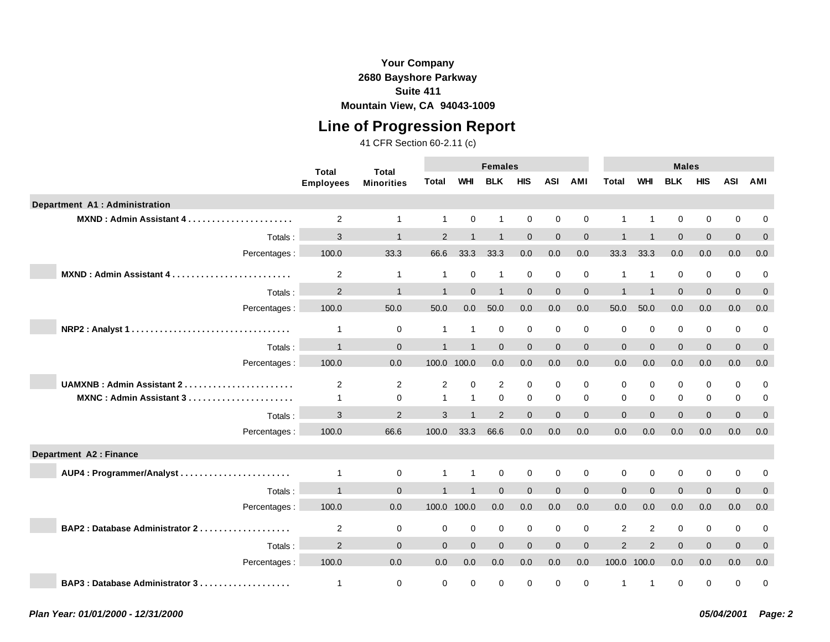## **Line of Progression Report**

|                                | <b>Total</b>            | <b>Total</b>      |               |                | <b>Females</b> |              |             |                |                |                | <b>Males</b> |              |             |              |
|--------------------------------|-------------------------|-------------------|---------------|----------------|----------------|--------------|-------------|----------------|----------------|----------------|--------------|--------------|-------------|--------------|
|                                | <b>Employees</b>        | <b>Minorities</b> | Total         | <b>WHI</b>     | <b>BLK</b>     | <b>HIS</b>   | <b>ASI</b>  | AMI            | <b>Total</b>   | <b>WHI</b>     | <b>BLK</b>   | <b>HIS</b>   | <b>ASI</b>  | AMI          |
| Department A1 : Administration |                         |                   |               |                |                |              |             |                |                |                |              |              |             |              |
| MXND: Admin Assistant 4        | 2                       | $\mathbf{1}$      | 1             | $\mathbf 0$    | $\mathbf 1$    | $\mathbf 0$  | $\mathbf 0$ | $\mathbf 0$    |                | $\overline{1}$ | $\mathbf 0$  | $\mathbf 0$  | $\mathbf 0$ | 0            |
| Totals:                        | 3                       | $\overline{1}$    | $\mathcal{P}$ |                | 1              | $\Omega$     | $\Omega$    | $\mathbf{0}$   |                |                | $\Omega$     | $\mathbf{0}$ | $\Omega$    | $\mathbf 0$  |
| Percentages:                   | 100.0                   | 33.3              | 66.6          | 33.3           | 33.3           | 0.0          | 0.0         | 0.0            | 33.3           | 33.3           | 0.0          | 0.0          | 0.0         | 0.0          |
| MXND: Admin Assistant 4        | $\overline{c}$          | $\mathbf{1}$      | 1             | $\mathbf 0$    | $\mathbf{1}$   | 0            | $\mathbf 0$ | 0              |                | $\overline{1}$ | 0            | 0            | $\mathbf 0$ | $\mathbf 0$  |
| Totals:                        | $\overline{2}$          | $\overline{1}$    |               | $\Omega$       | $\overline{1}$ | $\mathbf{0}$ | $\Omega$    | $\mathbf{0}$   |                |                | $\Omega$     | $\mathbf{0}$ | $\Omega$    | $\mathbf{0}$ |
| Percentages :                  | 100.0                   | 50.0              | 50.0          | 0.0            | 50.0           | 0.0          | 0.0         | 0.0            | 50.0           | 50.0           | 0.0          | 0.0          | 0.0         | 0.0          |
| NRP2: Analyst 1                | $\overline{1}$          | $\mathbf 0$       | 1             | $\overline{1}$ | 0              | $\mathbf 0$  | $\mathbf 0$ | $\mathbf 0$    | $\mathbf 0$    | $\mathbf 0$    | $\mathbf 0$  | $\mathbf 0$  | $\mathbf 0$ | 0            |
| Totals:                        | $\overline{1}$          | $\mathbf{0}$      | $\mathbf{1}$  | $\overline{1}$ | $\Omega$       | $\Omega$     | $\Omega$    | $\overline{0}$ | $\mathbf{0}$   | $\Omega$       | $\Omega$     | $\mathbf{0}$ | $\Omega$    | $\mathbf 0$  |
| Percentages :                  | 100.0                   | 0.0               |               | 100.0 100.0    | 0.0            | 0.0          | 0.0         | 0.0            | $0.0\,$        | 0.0            | 0.0          | $0.0\,$      | 0.0         | 0.0          |
| UAMXNB: Admin Assistant 2      | 2                       | $\overline{2}$    | 2             | $\Omega$       | 2              | $\mathbf 0$  | $\Omega$    | $\Omega$       | $\Omega$       | $\Omega$       | $\Omega$     | $\mathbf 0$  | $\mathbf 0$ | $\mathbf 0$  |
| MXNC: Admin Assistant 3        | $\overline{1}$          | $\mathbf 0$       | 1             | $\mathbf{1}$   | $\Omega$       | $\mathbf 0$  | $\Omega$    | $\Omega$       | $\Omega$       | $\Omega$       | $\mathbf 0$  | $\mathbf 0$  | $\mathbf 0$ | 0            |
| Totals:                        | 3                       | 2                 | 3             |                | 2              | $\Omega$     | $\Omega$    | $\overline{0}$ | $\Omega$       | $\Omega$       | $\Omega$     | $\mathbf{0}$ | $\Omega$    | $\mathbf 0$  |
| Percentages :                  | 100.0                   | 66.6              | 100.0         | 33.3           | 66.6           | 0.0          | 0.0         | 0.0            | 0.0            | 0.0            | 0.0          | 0.0          | 0.0         | 0.0          |
| Department A2 : Finance        |                         |                   |               |                |                |              |             |                |                |                |              |              |             |              |
| AUP4: Programmer/Analyst       | $\overline{1}$          | $\mathbf 0$       |               | $\overline{1}$ | 0              | $\mathbf 0$  | $\Omega$    | $\mathbf 0$    | $\mathbf 0$    | $\Omega$       | $\Omega$     | $\mathbf 0$  | $\mathbf 0$ | 0            |
| Totals:                        | $\overline{1}$          | $\Omega$          |               |                | $\Omega$       | $\mathbf{0}$ | $\Omega$    | $\mathbf{0}$   | $\Omega$       | $\Omega$       | $\Omega$     | $\mathbf{0}$ | $\Omega$    | $\mathbf{0}$ |
| Percentages :                  | 100.0                   | 0.0               | 100.0 100.0   |                | 0.0            | 0.0          | 0.0         | 0.0            | 0.0            | 0.0            | 0.0          | 0.0          | 0.0         | 0.0          |
| BAP2: Database Administrator 2 | 2                       | $\mathbf 0$       | $\mathbf 0$   | $\mathbf 0$    | $\mathbf 0$    | $\mathbf 0$  | $\mathbf 0$ | $\mathbf 0$    | 2              | 2              | $\mathbf 0$  | $\mathbf 0$  | $\mathbf 0$ | 0            |
| Totals:                        | $\overline{2}$          | $\Omega$          | $\Omega$      | $\Omega$       | $\Omega$       | $\Omega$     | $\Omega$    | $\overline{0}$ | $\overline{2}$ | 2              | $\Omega$     | $\mathbf{0}$ | $\Omega$    | $\mathbf{0}$ |
| Percentages:                   | 100.0                   | 0.0               | 0.0           | 0.0            | 0.0            | 0.0          | 0.0         | 0.0            |                | 100.0 100.0    | 0.0          | 0.0          | 0.0         | 0.0          |
| BAP3: Database Administrator 3 | $\overline{\mathbf{1}}$ | $\mathbf 0$       | 0             | $\mathbf 0$    | 0              | 0            | 0           | 0              | 1              | $\overline{1}$ | 0            | $\mathbf 0$  | $\Omega$    | $\mathbf 0$  |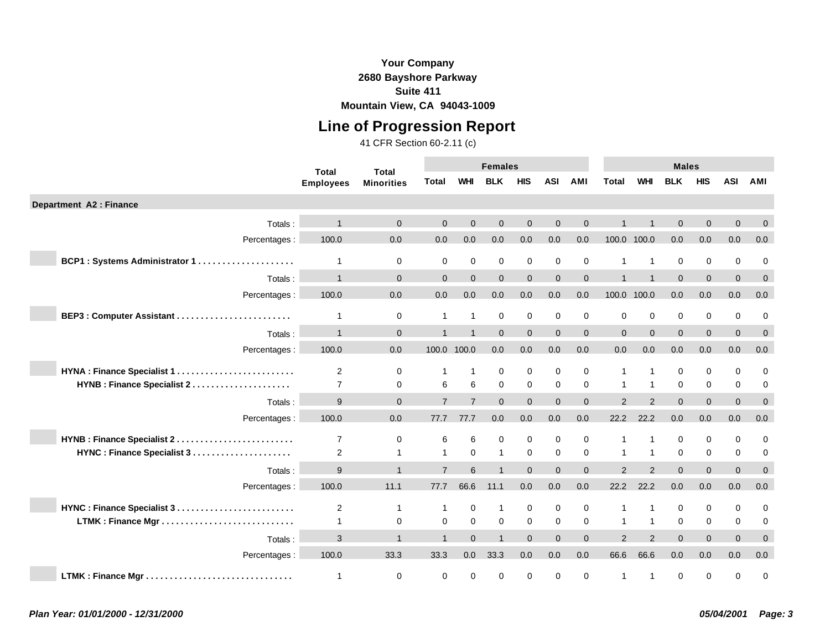## **Line of Progression Report**

|                               | <b>Total</b>     | <b>Total</b>      |                |                         | <b>Females</b> |             |             |                |               |                | <b>Males</b> |              |             |                |
|-------------------------------|------------------|-------------------|----------------|-------------------------|----------------|-------------|-------------|----------------|---------------|----------------|--------------|--------------|-------------|----------------|
|                               | <b>Employees</b> | <b>Minorities</b> | Total          | <b>WHI</b>              | <b>BLK</b>     | <b>HIS</b>  | <b>ASI</b>  | AMI            | <b>Total</b>  | <b>WHI</b>     | <b>BLK</b>   | <b>HIS</b>   | <b>ASI</b>  | AMI            |
| Department A2 : Finance       |                  |                   |                |                         |                |             |             |                |               |                |              |              |             |                |
| Totals:                       |                  | $\Omega$          | $\Omega$       | $\Omega$                | $\Omega$       | $\Omega$    | $\Omega$    | $\Omega$       |               |                | $\Omega$     | $\Omega$     | $\Omega$    | $\mathbf{0}$   |
| Percentages :                 | 100.0            | 0.0               | 0.0            | 0.0                     | 0.0            | 0.0         | 0.0         | 0.0            |               | 100.0 100.0    | 0.0          | 0.0          | 0.0         | 0.0            |
| BCP1: Systems Administrator 1 | 1                | 0                 | $\mathbf 0$    | $\mathbf 0$             | $\mathbf 0$    | $\mathbf 0$ | $\mathbf 0$ | $\mathbf 0$    |               | -1             | $\mathbf 0$  | $\mathbf 0$  | $\mathbf 0$ | $\mathbf 0$    |
| Totals:                       | $\overline{1}$   | $\Omega$          | $\Omega$       | $\Omega$                | $\Omega$       | $\Omega$    | $\Omega$    | $\Omega$       |               |                | $\Omega$     | $\Omega$     | $\Omega$    | $\Omega$       |
| Percentages :                 | 100.0            | 0.0               | 0.0            | 0.0                     | 0.0            | 0.0         | 0.0         | 0.0            |               | 100.0 100.0    | 0.0          | 0.0          | 0.0         | 0.0            |
| BEP3: Computer Assistant      | $\mathbf{1}$     | 0                 |                | $\overline{1}$          | $\mathbf 0$    | $\mathbf 0$ | $\mathbf 0$ | $\mathbf 0$    | $\mathbf 0$   | $\mathbf 0$    | $\mathbf 0$  | $\mathbf 0$  | $\mathbf 0$ | 0              |
| Totals:                       | $\mathbf 1$      | $\overline{0}$    |                | $\overline{1}$          | $\Omega$       | $\Omega$    | $\Omega$    | $\overline{0}$ | $\mathbf{0}$  | $\Omega$       | $\Omega$     | $\mathbf{0}$ | $\Omega$    | $\mathbf{0}$   |
| Percentages :                 | 100.0            | 0.0               | 100.0 100.0    |                         | 0.0            | 0.0         | 0.0         | 0.0            | 0.0           | 0.0            | 0.0          | 0.0          | 0.0         | 0.0            |
| HYNA : Finance Specialist 1   | $\overline{2}$   | 0                 |                | $\overline{\mathbf{1}}$ | 0              | 0           | $\mathbf 0$ | $\mathbf 0$    |               | -1             | 0            | 0            | $\mathbf 0$ | 0              |
| HYNB : Finance Specialist 2   | $\overline{7}$   | $\mathbf 0$       | 6              | 6                       | $\mathbf 0$    | $\mathbf 0$ | $\mathbf 0$ | $\mathbf 0$    | $\mathbf 1$   | $\overline{1}$ | $\mathbf 0$  | $\mathbf 0$  | $\mathbf 0$ | 0              |
| Totals:                       | 9                | $\Omega$          | $\overline{7}$ | $\overline{7}$          | $\Omega$       | $\Omega$    | $\Omega$    | $\Omega$       | $\mathcal{P}$ | $\mathfrak{p}$ | $\Omega$     | $\Omega$     | $\Omega$    | $\Omega$       |
| Percentages :                 | 100.0            | 0.0               | 77.7           | 77.7                    | 0.0            | 0.0         | 0.0         | 0.0            | 22.2          | 22.2           | 0.0          | 0.0          | 0.0         | 0.0            |
| HYNB : Finance Specialist 2   | $\overline{7}$   | 0                 | 6              | 6                       | $\mathbf 0$    | $\mathbf 0$ | $\Omega$    | $\mathbf 0$    |               |                | $\Omega$     | 0            | $\Omega$    | $\mathbf 0$    |
|                               | $\overline{c}$   | $\mathbf{1}$      |                | $\Omega$                | $\mathbf{1}$   | $\mathbf 0$ | $\Omega$    | $\mathbf 0$    | $\mathbf 1$   | $\overline{1}$ | $\Omega$     | $\mathbf 0$  | $\mathbf 0$ | $\mathbf 0$    |
| Totals:                       | 9                | $\overline{1}$    | $\overline{7}$ | 6                       |                | $\Omega$    | $\Omega$    | $\Omega$       | 2             | $\mathcal{P}$  | $\Omega$     | $\Omega$     | $\Omega$    | $\overline{0}$ |
| Percentages :                 | 100.0            | 11.1              | 77.7           | 66.6                    | 11.1           | 0.0         | 0.0         | 0.0            | 22.2          | 22.2           | 0.0          | 0.0          | 0.0         | 0.0            |
| HYNC: Finance Specialist 3    | 2                | 1                 |                | $\mathbf 0$             | $\mathbf 1$    | 0           | $\mathbf 0$ | $\mathbf 0$    |               |                | 0            | 0            | $\mathbf 0$ | 0              |
|                               | $\mathbf{1}$     | 0                 | $\mathbf 0$    | $\Omega$                | $\mathbf 0$    | $\mathbf 0$ | $\mathbf 0$ | $\mathbf 0$    | $\mathbf 1$   | $\overline{1}$ | $\Omega$     | $\mathbf 0$  | $\mathbf 0$ | 0              |
| Totals:                       | 3                | $\overline{1}$    |                | $\Omega$                |                | $\Omega$    | $\Omega$    | $\Omega$       | $\mathcal{P}$ | $\mathcal{P}$  | $\Omega$     | $\Omega$     | $\Omega$    | $\mathbf{0}$   |
| Percentages :                 | 100.0            | 33.3              | 33.3           | 0.0                     | 33.3           | 0.0         | 0.0         | 0.0            | 66.6          | 66.6           | 0.0          | 0.0          | 0.0         | 0.0            |
|                               | $\overline{1}$   | $\mathbf 0$       | $\mathbf 0$    | $\mathbf 0$             | $\mathbf 0$    | $\mathbf 0$ | $\mathbf 0$ | $\mathbf 0$    | 1             | -1             | $\mathbf 0$  | $\mathbf 0$  | $\Omega$    | $\mathbf 0$    |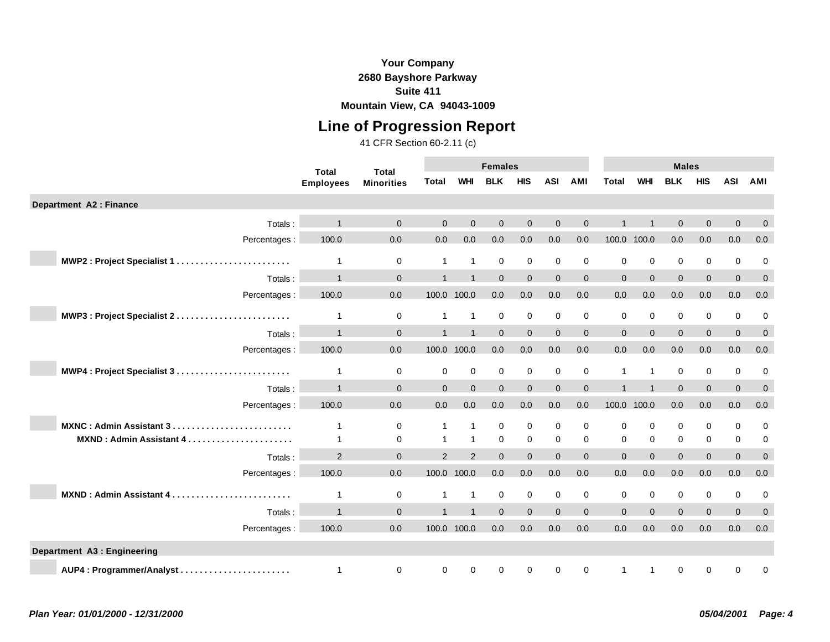**Line of Progression Report**

|                                     | <b>Total</b>     | <b>Total</b>      |                |                | <b>Females</b> |                  |             |              |                |                | <b>Males</b> |                |                |              |
|-------------------------------------|------------------|-------------------|----------------|----------------|----------------|------------------|-------------|--------------|----------------|----------------|--------------|----------------|----------------|--------------|
|                                     | <b>Employees</b> | <b>Minorities</b> | Total          | <b>WHI</b>     | <b>BLK</b>     | <b>HIS</b>       | <b>ASI</b>  | <b>AMI</b>   | <b>Total</b>   | <b>WHI</b>     | <b>BLK</b>   | <b>HIS</b>     | <b>ASI</b>     | AMI          |
| Department A2 : Finance             |                  |                   |                |                |                |                  |             |              |                |                |              |                |                |              |
| Totals:                             |                  | $\Omega$          | $\Omega$       | $\Omega$       | $\Omega$       | $\mathbf{0}$     | $\Omega$    | $\Omega$     |                |                | $\Omega$     | $\mathbf{0}$   | $\Omega$       | $\mathbf 0$  |
| Percentages :                       | 100.0            | 0.0               | 0.0            | 0.0            | 0.0            | 0.0              | 0.0         | 0.0          | 100.0 100.0    |                | 0.0          | 0.0            | 0.0            | 0.0          |
| MWP2: Project Specialist 1          | 1                | $\mathbf 0$       | $\mathbf 1$    | $\overline{1}$ | 0              | $\mathbf 0$      | 0           | 0            | 0              | $\mathbf 0$    | 0            | 0              | 0              | 0            |
| Totals:                             | $\mathbf{1}$     | $\Omega$          |                |                | $\Omega$       | $\mathbf{0}$     | $\Omega$    | $\mathbf{0}$ | $\Omega$       | $\Omega$       | $\Omega$     | $\mathbf{0}$   | $\Omega$       | $\mathbf 0$  |
| Percentages :                       | 100.0            | $0.0\,$           |                | 100.0 100.0    | 0.0            | $0.0\,$          | 0.0         | 0.0          | $0.0\,$        | 0.0            | 0.0          | $0.0\,$        | 0.0            | $0.0\,$      |
| MWP3: Project Specialist 2          | $\mathbf{1}$     | $\mathbf 0$       | 1              | $\overline{1}$ | $\mathbf 0$    | $\boldsymbol{0}$ | $\mathbf 0$ | $\mathbf 0$  | 0              | $\mathbf 0$    | 0            | $\pmb{0}$      | 0              | 0            |
| Totals:                             | $\mathbf{1}$     | $\mathbf{0}$      |                |                | $\Omega$       | $\mathbf{0}$     | $\Omega$    | $\mathbf 0$  | $\mathbf{0}$   | $\Omega$       | $\Omega$     | $\overline{0}$ | $\Omega$       | $\mathbf 0$  |
| Percentages:                        | 100.0            | 0.0               |                | 100.0 100.0    | 0.0            | 0.0              | 0.0         | 0.0          | 0.0            | 0.0            | 0.0          | 0.0            | 0.0            | 0.0          |
| MWP4: Project Specialist 3          | 1                | 0                 | 0              | 0              | $\mathbf 0$    | $\pmb{0}$        | 0           | 0            | 1              | $\overline{1}$ | 0            | $\pmb{0}$      | 0              | 0            |
| Totals:                             | $\mathbf{1}$     | $\Omega$          | $\Omega$       | $\Omega$       | $\Omega$       | $\Omega$         | $\Omega$    | $\Omega$     |                |                | $\Omega$     | $\Omega$       | $\Omega$       | $\mathbf{0}$ |
| Percentages :                       | 100.0            | 0.0               | 0.0            | 0.0            | 0.0            | 0.0              | 0.0         | 0.0          | 100.0 100.0    |                | 0.0          | 0.0            | 0.0            | 0.0          |
| MXNC: Admin Assistant 3             |                  | 0                 | 1              | $\overline{1}$ | $\mathbf 0$    | $\pmb{0}$        | $\mathbf 0$ | $\mathbf 0$  | 0              | $\mathbf 0$    | 0            | $\mathbf 0$    | 0              | 0            |
| <b>MXND: Admin Assistant 4</b><br>. | 1                | $\mathbf 0$       | 1              | $\overline{1}$ | $\mathbf 0$    | $\mathbf 0$      | $\mathbf 0$ | $\mathbf 0$  | $\Omega$       | $\mathbf 0$    | 0            | $\mathbf 0$    | 0              | 0            |
| Totals:                             | 2                | $\mathbf{0}$      | $\overline{2}$ | 2              | $\Omega$       | $\mathbf 0$      | $\Omega$    | $\mathbf{0}$ | $\overline{0}$ | $\Omega$       | $\mathbf{0}$ | $\overline{0}$ | $\overline{0}$ | $\mathbf 0$  |
| Percentages :                       | 100.0            | 0.0               |                | 100.0 100.0    | 0.0            | 0.0              | 0.0         | 0.0          | 0.0            | 0.0            | 0.0          | 0.0            | 0.0            | 0.0          |
| MXND: Admin Assistant 4             | 1                | $\mathbf 0$       | 1              | $\overline{1}$ | 0              | $\mathbf 0$      | 0           | 0            | 0              | $\mathbf 0$    | 0            | 0              | 0              | 0            |
| Totals:                             | $\overline{1}$   | $\Omega$          |                |                | $\Omega$       | $\Omega$         | $\Omega$    | $\mathbf 0$  | $\Omega$       | $\Omega$       | $\Omega$     | $\mathbf{0}$   | $\Omega$       | $\mathbf{0}$ |
| Percentages :                       | 100.0            | 0.0               | 100.0 100.0    |                | 0.0            | 0.0              | 0.0         | 0.0          | 0.0            | 0.0            | 0.0          | 0.0            | 0.0            | 0.0          |
| Department A3 : Engineering         |                  |                   |                |                |                |                  |             |              |                |                |              |                |                |              |
| AUP4: Programmer/Analyst            | 1                | $\mathbf 0$       | 0              | 0              | 0              | $\mathbf 0$      | 0           | 0            |                |                | 0            | 0              | 0              | 0            |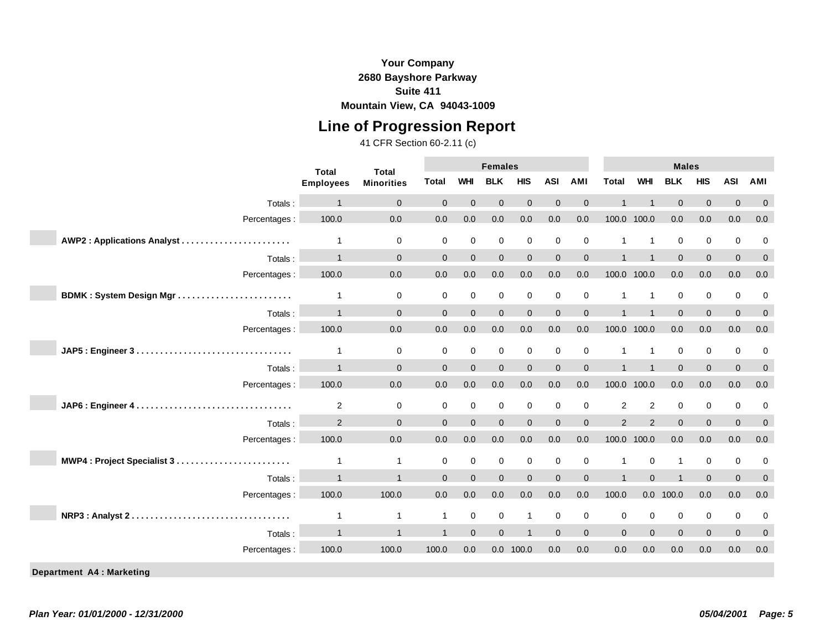## **Line of Progression Report**

|                                 | <b>Total</b>     | <b>Total</b>      | <b>Females</b> |                |                     |                  |             |                     |                         |                | <b>Males</b>        |                     |                     |              |
|---------------------------------|------------------|-------------------|----------------|----------------|---------------------|------------------|-------------|---------------------|-------------------------|----------------|---------------------|---------------------|---------------------|--------------|
|                                 | <b>Employees</b> | <b>Minorities</b> | <b>Total</b>   | <b>WHI</b>     | <b>BLK</b>          | <b>HIS</b>       | <b>ASI</b>  | <b>AMI</b>          | <b>Total</b>            | <b>WHI</b>     | <b>BLK</b>          | <b>HIS</b>          | <b>ASI</b>          | AMI          |
| Totals:                         |                  | $\Omega$          | $\Omega$       | $\Omega$       | $\Omega$            | $\Omega$         | $\Omega$    | $\Omega$            |                         |                | $\Omega$            | $\Omega$            | $\Omega$            | $\Omega$     |
| Percentages :                   | 100.0            | 0.0               | 0.0            | 0.0            | 0.0                 | 0.0              | 0.0         | 0.0                 |                         | 100.0 100.0    | 0.0                 | 0.0                 | 0.0                 | 0.0          |
| AWP2: Applications Analyst      | $\mathbf{1}$     | $\mathbf 0$       | $\mathbf 0$    | $\mathbf 0$    | $\mathbf 0$         | $\mathbf 0$      | $\mathbf 0$ | $\mathbf 0$         | $\mathbf{1}$            | $\mathbf{1}$   | $\mathbf 0$         | $\mathbf 0$         | $\mathbf 0$         | 0            |
| Totals:                         | $\overline{1}$   | $\mathbf{0}$      | $\Omega$       | $\overline{0}$ | $\mathbf{0}$        | $\mathbf{0}$     | $\Omega$    | $\mathsf{O}\xspace$ | $\overline{1}$          |                | $\Omega$            | $\mathbf 0$         | $\overline{0}$      | $\mathbf{0}$ |
| Percentages :                   | 100.0            | 0.0               | 0.0            | 0.0            | 0.0                 | 0.0              | 0.0         | 0.0                 | 100.0                   | 100.0          | 0.0                 | 0.0                 | 0.0                 | 0.0          |
|                                 |                  |                   |                |                |                     |                  |             |                     |                         |                |                     |                     |                     |              |
| BDMK: System Design Mgr         | $\mathbf{1}$     | $\mathbf 0$       | $\mathbf 0$    | $\pmb{0}$      | $\mathsf{O}\xspace$ | $\boldsymbol{0}$ | $\mathbf 0$ | $\mathsf 0$         | $\overline{1}$          | $\mathbf{1}$   | $\mathbf 0$         | $\mathsf{O}\xspace$ | $\mathsf{O}\xspace$ | 0            |
| Totals:                         |                  | $\Omega$          | $\Omega$       | $\Omega$       | $\Omega$            | $\mathbf{0}$     | $\Omega$    | $\mathsf{O}\xspace$ |                         |                | $\Omega$            | $\mathbf 0$         | $\Omega$            | $\mathbf{0}$ |
| Percentages :                   | 100.0            | 0.0               | 0.0            | 0.0            | 0.0                 | 0.0              | 0.0         | 0.0                 |                         | 100.0 100.0    | 0.0                 | 0.0                 | 0.0                 | 0.0          |
|                                 | $\mathbf{1}$     | 0                 | $\mathbf 0$    | $\mathbf 0$    | $\mathbf 0$         | 0                | $\mathbf 0$ | $\mathbf 0$         | 1                       | $\mathbf{1}$   | $\mathbf 0$         | $\mathbf 0$         | $\mathbf 0$         | 0            |
| Totals:                         | $\overline{ }$   | $\mathbf{0}$      | $\Omega$       | $\mathbf 0$    | $\Omega$            | $\overline{0}$   | $\Omega$    | $\overline{0}$      | $\overline{ }$          |                | $\Omega$            | $\mathbf{0}$        | $\mathbf{0}$        | $\mathbf{0}$ |
| Percentages:                    | 100.0            | 0.0               | 0.0            | 0.0            | 0.0                 | 0.0              | 0.0         | 0.0                 |                         | 100.0 100.0    | 0.0                 | 0.0                 | 0.0                 | 0.0          |
|                                 | 2                | 0                 | 0              | $\mathbf 0$    | $\mathbf 0$         | $\mathbf 0$      | $\mathbf 0$ | $\mathbf 0$         | $\overline{2}$          | $\overline{2}$ | $\mathbf 0$         | $\mathbf 0$         | 0                   | 0            |
| Totals:                         | 2                | $\Omega$          | $\Omega$       | $\Omega$       | $\Omega$            | $\Omega$         | $\Omega$    | $\overline{0}$      | $\mathcal{P}$           | $\overline{2}$ | $\Omega$            | $\mathbf{0}$        | $\Omega$            | $\mathbf{0}$ |
| Percentages :                   | 100.0            | 0.0               | 0.0            | 0.0            | 0.0                 | $0.0\,$          | 0.0         | 0.0                 |                         | 100.0 100.0    | 0.0                 | 0.0                 | 0.0                 | 0.0          |
| MWP4: Project Specialist 3      | $\mathbf{1}$     | $\mathbf{1}$      | $\mathbf 0$    | $\mathbf 0$    | $\mathbf 0$         | $\mathbf 0$      | $\mathbf 0$ | $\mathbf 0$         | $\overline{1}$          | $\mathbf 0$    | $\mathbf{1}$        | 0                   | $\mathbf 0$         | $\mathbf 0$  |
| Totals:                         |                  | $\overline{1}$    | $\Omega$       | $\Omega$       | $\Omega$            | $\Omega$         | $\Omega$    | $\mathbf{0}$        | $\overline{\mathbf{1}}$ | $\Omega$       |                     | $\Omega$            | $\Omega$            | $\mathbf{0}$ |
| Percentages:                    | 100.0            | 100.0             | 0.0            | 0.0            | 0.0                 | 0.0              | 0.0         | 0.0                 | 100.0                   |                | $0.0$ 100.0         | 0.0                 | 0.0                 | 0.0          |
| NRP3: Analyst 2                 | $\mathbf{1}$     | $\mathbf{1}$      | $\overline{1}$ | $\pmb{0}$      | $\mathsf{O}\xspace$ | $\mathbf{1}$     | $\mathbf 0$ | 0                   | $\mathbf 0$             | $\mathbf 0$    | $\mathsf{O}\xspace$ | $\boldsymbol{0}$    | $\mathbf 0$         | 0            |
| Totals:                         | $\overline{1}$   | $\overline{1}$    |                | $\mathbf{0}$   | $\Omega$            | $\overline{1}$   | $\Omega$    | $\mathbf{0}$        | $\Omega$                | $\Omega$       | $\Omega$            | $\mathbf{0}$        | $\mathbf 0$         | $\mathbf{0}$ |
| Percentages :                   | 100.0            | 100.0             | 100.0          | 0.0            | 0.0                 | 100.0            | 0.0         | 0.0                 | 0.0                     | 0.0            | 0.0                 | 0.0                 | 0.0                 | 0.0          |
| <b>Department A4: Marketing</b> |                  |                   |                |                |                     |                  |             |                     |                         |                |                     |                     |                     |              |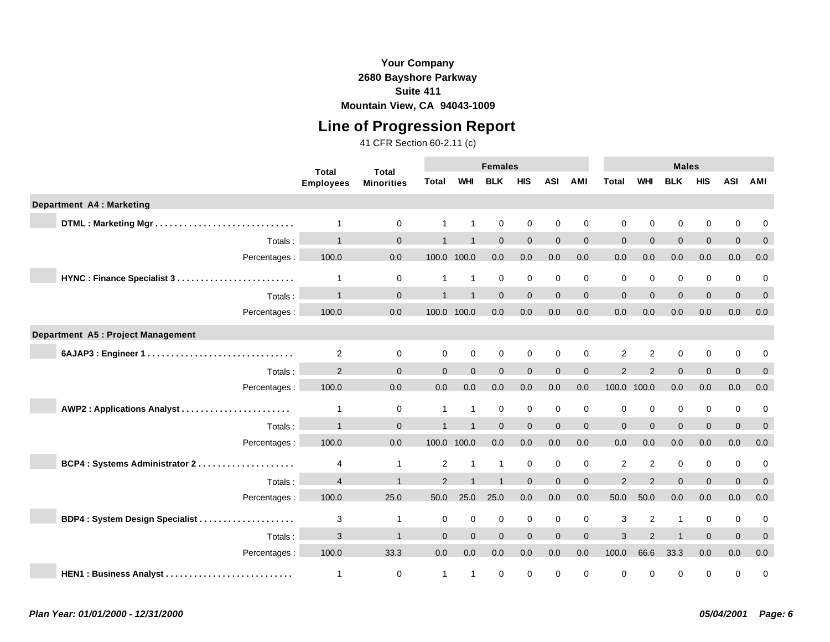## **Line of Progression Report**

|                                    | <b>Total</b>     | <b>Total</b>      |                |                | <b>Females</b> |                  |              |                  |                |               | <b>Males</b>   |                |              |              |
|------------------------------------|------------------|-------------------|----------------|----------------|----------------|------------------|--------------|------------------|----------------|---------------|----------------|----------------|--------------|--------------|
|                                    | <b>Employees</b> | <b>Minorities</b> | Total          | <b>WHI</b>     | <b>BLK</b>     | <b>HIS</b>       | <b>ASI</b>   | <b>AMI</b>       | <b>Total</b>   | <b>WHI</b>    | <b>BLK</b>     | <b>HIS</b>     | <b>ASI</b>   | AMI          |
| <b>Department A4: Marketing</b>    |                  |                   |                |                |                |                  |              |                  |                |               |                |                |              |              |
|                                    | 1                | $\mathbf 0$       |                | 1              | $\mathbf 0$    | $\boldsymbol{0}$ | $\mathbf 0$  | $\mathbf 0$      | $\Omega$       | $\mathbf 0$   | 0              | $\mathbf 0$    | 0            | 0            |
| Totals:                            | $\overline{1}$   | $\mathbf 0$       |                | $\overline{1}$ | $\mathbf{0}$   | $\mathbf{0}$     | $\mathbf{0}$ | $\mathbf{0}$     | $\overline{0}$ | $\Omega$      | $\Omega$       | $\overline{0}$ | $\mathbf{0}$ | $\mathbf 0$  |
| Percentages :                      | 100.0            | 0.0               |                | 100.0 100.0    | 0.0            | 0.0              | 0.0          | 0.0              | 0.0            | 0.0           | 0.0            | 0.0            | 0.0          | 0.0          |
| HYNC: Finance Specialist 3         | $\mathbf{1}$     | $\mathbf 0$       | $\mathbf{1}$   | $\overline{1}$ | $\mathbf 0$    | $\mathbf 0$      | $\mathbf 0$  | $\mathbf 0$      | $\mathbf 0$    | $\mathbf 0$   | $\mathbf 0$    | 0              | 0            | 0            |
| Totals:                            | $\mathbf{1}$     | $\mathbf 0$       |                | $\overline{1}$ | $\Omega$       | $\mathbf{0}$     | $\Omega$     | $\mathbf 0$      | $\Omega$       | $\Omega$      | $\Omega$       | $\mathbf{0}$   | $\Omega$     | $\mathbf 0$  |
| Percentages:                       | 100.0            | 0.0               |                | 100.0 100.0    | 0.0            | 0.0              | 0.0          | 0.0              | 0.0            | 0.0           | 0.0            | 0.0            | 0.0          | 0.0          |
| Department A5 : Project Management |                  |                   |                |                |                |                  |              |                  |                |               |                |                |              |              |
| 6AJAP3: Engineer 1                 | $\overline{2}$   | 0                 | 0              | $\mathbf 0$    | $\mathbf 0$    | $\mathbf 0$      | $\mathbf 0$  | 0                | $\overline{2}$ | 2             | 0              | $\mathbf 0$    | 0            | 0            |
| Totals:                            | 2                | $\mathbf{0}$      | $\overline{0}$ | $\Omega$       | $\mathbf 0$    | $\mathbf{0}$     | $\Omega$     | $\mathbf{0}$     | $\mathcal{P}$  | $\mathcal{P}$ | $\Omega$       | $\overline{0}$ | $\mathbf{0}$ | $\mathbf 0$  |
| Percentages:                       | 100.0            | 0.0               | 0.0            | 0.0            | 0.0            | 0.0              | 0.0          | 0.0              | 100.0 100.0    |               | 0.0            | 0.0            | 0.0          | 0.0          |
| AWP2: Applications Analyst         | $\mathbf 1$      | 0                 | $\mathbf{1}$   | $\overline{1}$ | $\mathbf 0$    | $\mathbf 0$      | $\mathbf 0$  | $\mathbf 0$      | 0              | $\mathbf 0$   | $\mathbf 0$    | $\mathbf 0$    | 0            | 0            |
| Totals:                            | $\overline{1}$   | $\Omega$          |                |                | $\Omega$       | $\overline{0}$   | $\Omega$     | $\mathbf 0$      | $\Omega$       | $\Omega$      | $\Omega$       | $\overline{0}$ | $\Omega$     | $\mathbf 0$  |
| Percentages:                       | 100.0            | 0.0               |                | 100.0 100.0    | 0.0            | 0.0              | 0.0          | 0.0              | 0.0            | 0.0           | 0.0            | $0.0\,$        | 0.0          | $0.0\,$      |
| BCP4 : Systems Administrator 2     | 4                | $\mathbf{1}$      | $\overline{2}$ | -1             | $\mathbf{1}$   | $\mathbf 0$      | $\mathbf 0$  | 0                | $\overline{2}$ | 2             | 0              | $\mathbf 0$    | 0            | 0            |
| Totals:                            | $\overline{4}$   | $\overline{1}$    | $\mathcal{P}$  |                |                | $\Omega$         | $\Omega$     | $\mathbf 0$      | $\overline{2}$ | $\mathcal{P}$ | $\Omega$       | $\Omega$       | $\Omega$     | $\Omega$     |
| Percentages:                       | 100.0            | 25.0              | 50.0           | 25.0           | 25.0           | 0.0              | 0.0          | 0.0              | 50.0           | 50.0          | 0.0            | 0.0            | 0.0          | 0.0          |
| BDP4: System Design Specialist     | 3                | $\mathbf{1}$      | 0              | $\mathbf 0$    | $\mathbf 0$    | $\mathsf 0$      | $\mathbf 0$  | $\boldsymbol{0}$ | 3              | 2             | $\overline{1}$ | $\mathbf 0$    | 0            | 0            |
| Totals:                            | 3                | $\overline{1}$    | $\Omega$       | $\Omega$       | $\Omega$       | $\Omega$         | $\Omega$     | $\mathbf{0}$     | 3              | 2             | $\overline{ }$ | $\Omega$       | $\Omega$     | $\mathbf{0}$ |
| Percentages:                       | 100.0            | 33.3              | 0.0            | 0.0            | 0.0            | $0.0\,$          | 0.0          | 0.0              | 100.0          | 66.6          | 33.3           | 0.0            | 0.0          | $0.0\,$      |
| HEN1: Business Analyst             | $\mathbf{1}$     | $\mathbf 0$       | $\mathbf{1}$   | $\overline{1}$ | $\mathbf 0$    | 0                | $\mathbf 0$  | $\mathbf 0$      | 0              | 0             | 0              | 0              | 0            | $\mathbf 0$  |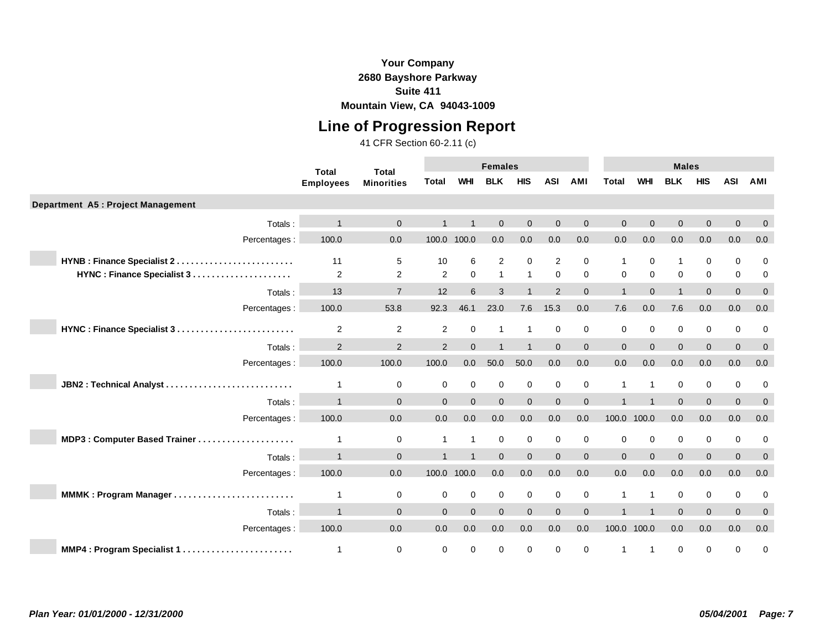### **Your Company 2680 Bayshore Parkway Suite 411**

**Mountain View, CA 94043-1009**

# **Line of Progression Report**

|                                    | <b>Total</b>     | <b>Total</b>      |                |              | <b>Females</b> |                |             |                |                |                | <b>Males</b>            |                |             |              |
|------------------------------------|------------------|-------------------|----------------|--------------|----------------|----------------|-------------|----------------|----------------|----------------|-------------------------|----------------|-------------|--------------|
|                                    | <b>Employees</b> | <b>Minorities</b> | Total          | <b>WHI</b>   | <b>BLK</b>     | <b>HIS</b>     | <b>ASI</b>  | <b>AMI</b>     | <b>Total</b>   | <b>WHI</b>     | <b>BLK</b>              | <b>HIS</b>     | <b>ASI</b>  | AMI          |
| Department A5 : Project Management |                  |                   |                |              |                |                |             |                |                |                |                         |                |             |              |
| Totals:                            |                  | $\Omega$          |                |              | $\Omega$       | $\Omega$       | $\Omega$    | $\Omega$       | $\Omega$       | $\Omega$       | $\Omega$                | $\Omega$       | $\Omega$    | $\Omega$     |
| Percentages :                      | 100.0            | 0.0               | 100.0 100.0    |              | 0.0            | 0.0            | 0.0         | 0.0            | 0.0            | 0.0            | 0.0                     | 0.0            | 0.0         | 0.0          |
| HYNB : Finance Specialist 2        | 11               | 5                 | 10             | 6            | 2              | $\mathbf 0$    | 2           | $\mathbf 0$    | 1              | $\mathbf 0$    | $\overline{1}$          | $\mathbf 0$    | $\mathbf 0$ | $\mathbf 0$  |
|                                    | 2                | 2                 | $\overline{2}$ | $\mathbf 0$  | $\mathbf{1}$   | $\mathbf{1}$   | $\mathbf 0$ | $\mathbf 0$    | 0              | $\mathbf 0$    | $\mathbf 0$             | $\mathbf 0$    | $\mathbf 0$ | 0            |
| Totals:                            | 13               | $\overline{7}$    | 12             | 6            | 3              |                | 2           | $\Omega$       | $\overline{1}$ | $\Omega$       | $\overline{\mathbf{1}}$ | $\overline{0}$ | $\Omega$    | $\mathbf{0}$ |
| Percentages :                      | 100.0            | 53.8              | 92.3           | 46.1         | 23.0           | 7.6            | 15.3        | 0.0            | 7.6            | 0.0            | 7.6                     | 0.0            | 0.0         | 0.0          |
| HYNC: Finance Specialist 3         | 2                | 2                 | $\overline{2}$ | $\mathbf 0$  | 1              | $\overline{1}$ | $\mathbf 0$ | $\mathbf 0$    | 0              | $\mathbf 0$    | $\mathbf 0$             | 0              | $\mathbf 0$ | 0            |
| Totals:                            | 2                | 2                 | 2              | $\Omega$     |                |                | $\Omega$    | $\mathbf{0}$   | $\Omega$       | $\Omega$       | $\Omega$                | $\overline{0}$ | $\Omega$    | $\mathbf{0}$ |
| Percentages:                       | 100.0            | 100.0             | 100.0          | 0.0          | 50.0           | 50.0           | 0.0         | 0.0            | 0.0            | 0.0            | 0.0                     | 0.0            | 0.0         | 0.0          |
| JBN2: Technical Analyst            | 1                | 0                 | 0              | $\mathbf 0$  | $\mathbf 0$    | 0              | $\mathbf 0$ | 0              | 1              | $\overline{1}$ | 0                       | 0              | $\mathbf 0$ | 0            |
| Totals:                            |                  | $\Omega$          | $\Omega$       | $\Omega$     | $\Omega$       | $\mathbf{0}$   | $\Omega$    | $\overline{0}$ |                |                | $\Omega$                | $\overline{0}$ | $\Omega$    | $\mathbf{0}$ |
| Percentages :                      | 100.0            | 0.0               | 0.0            | 0.0          | 0.0            | 0.0            | 0.0         | 0.0            | 100.0 100.0    |                | 0.0                     | 0.0            | 0.0         | 0.0          |
|                                    | 1                | 0                 | $\mathbf{1}$   | $\mathbf{1}$ | $\mathbf 0$    | $\mathbf 0$    | $\mathbf 0$ | 0              | 0              | $\mathbf 0$    | $\mathbf 0$             | 0              | $\mathbf 0$ | 0            |
| Totals:                            |                  | $\Omega$          |                |              | $\Omega$       | $\mathbf{0}$   | $\Omega$    | $\mathbf{0}$   | $\Omega$       | $\Omega$       | $\Omega$                | $\overline{0}$ | $\Omega$    | $\mathbf{0}$ |
| Percentages:                       | 100.0            | 0.0               | 100.0 100.0    |              | 0.0            | 0.0            | 0.0         | 0.0            | 0.0            | 0.0            | 0.0                     | 0.0            | 0.0         | 0.0          |
| MMMK: Program Manager              | 1                | $\mathbf 0$       | $\mathbf{0}$   | $\mathbf 0$  | $\mathbf 0$    | $\mathbf 0$    | $\mathbf 0$ | $\mathbf 0$    | 1              | $\mathbf 1$    | $\Omega$                | $\mathbf 0$    | $\Omega$    | 0            |
| Totals:                            |                  | $\Omega$          | $\Omega$       | $\Omega$     | $\Omega$       | $\mathbf{0}$   | $\Omega$    | $\overline{0}$ |                |                | $\Omega$                | $\overline{0}$ | $\Omega$    | $\mathbf{0}$ |
| Percentages :                      | 100.0            | 0.0               | 0.0            | 0.0          | 0.0            | 0.0            | 0.0         | 0.0            | 100.0 100.0    |                | 0.0                     | 0.0            | 0.0         | 0.0          |
| MMP4: Program Specialist 1         | 1                | $\mathbf 0$       | 0              | $\mathbf 0$  | $\mathbf 0$    | $\mathbf 0$    | $\mathbf 0$ | $\mathbf 0$    |                |                | $\mathbf 0$             | $\Omega$       | $\Omega$    | $\mathbf 0$  |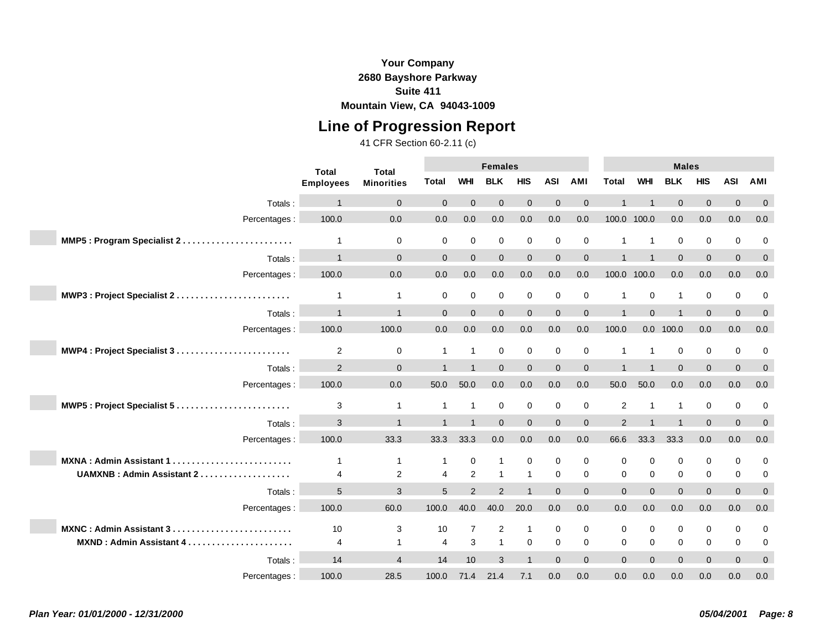## **Line of Progression Report**

|                                | <b>Total</b><br><b>Total</b> |                   |                         | <b>Females</b> |                |                |             |              |                         | <b>Males</b>   |                |              |             |                |
|--------------------------------|------------------------------|-------------------|-------------------------|----------------|----------------|----------------|-------------|--------------|-------------------------|----------------|----------------|--------------|-------------|----------------|
|                                | <b>Employees</b>             | <b>Minorities</b> | <b>Total</b>            | <b>WHI</b>     | <b>BLK</b>     | <b>HIS</b>     | <b>ASI</b>  | AMI          | <b>Total</b>            | <b>WHI</b>     | <b>BLK</b>     | <b>HIS</b>   | <b>ASI</b>  | AMI            |
| Totals:                        |                              | $\mathbf{0}$      | $\Omega$                | $\Omega$       | $\Omega$       | $\Omega$       | $\Omega$    | $\Omega$     |                         |                | $\Omega$       | $\mathbf{0}$ | $\Omega$    | $\mathbf{0}$   |
| Percentages :                  | 100.0                        | 0.0               | 0.0                     | 0.0            | 0.0            | 0.0            | 0.0         | 0.0          | 100.0 100.0             |                | 0.0            | 0.0          | 0.0         | 0.0            |
| MMP5: Program Specialist 2     | $\mathbf 1$                  | $\mathbf 0$       | 0                       | $\mathbf 0$    | $\mathbf 0$    | $\mathbf 0$    | 0           | 0            | 1                       | $\mathbf{1}$   | $\mathbf 0$    | $\mathbf 0$  | $\mathbf 0$ | 0              |
| Totals:                        |                              | $\mathbf{0}$      | $\Omega$                | $\Omega$       | $\mathbf{0}$   | $\mathbf{0}$   | $\Omega$    | $\mathbf{0}$ | $\overline{\mathbf{A}}$ |                | $\Omega$       | $\mathbf{0}$ | $\Omega$    | $\mathbf{0}$   |
| Percentages :                  | 100.0                        | 0.0               | 0.0                     | 0.0            | 0.0            | 0.0            | 0.0         | 0.0          | 100.0 100.0             |                | 0.0            | 0.0          | 0.0         | 0.0            |
| MWP3: Project Specialist 2     | $\mathbf{1}$                 | $\mathbf{1}$      | 0                       | $\mathbf 0$    | 0              | $\mathbf 0$    | 0           | 0            | 1                       | 0              | $\overline{1}$ | 0            | $\mathbf 0$ | 0              |
| Totals:                        |                              | $\overline{1}$    | $\Omega$                | $\Omega$       | $\Omega$       | $\Omega$       | $\Omega$    | $\Omega$     | $\overline{1}$          | $\Omega$       |                | $\Omega$     | $\Omega$    | $\mathbf 0$    |
| Percentages :                  | 100.0                        | 100.0             | 0.0                     | 0.0            | 0.0            | 0.0            | 0.0         | 0.0          | 100.0                   |                | $0.0$ 100.0    | 0.0          | 0.0         | 0.0            |
|                                |                              |                   | $\overline{1}$          | $\overline{1}$ |                |                |             |              | 1                       | $\overline{1}$ |                |              |             |                |
| MWP4 : Project Specialist 3    | $\overline{c}$               | $\mathbf 0$       |                         | $\overline{1}$ | 0              | $\mathbf 0$    | 0           | 0            | $\overline{\mathbf{A}}$ | $\overline{1}$ | 0              | 0            | $\mathbf 0$ | 0              |
| Totals:                        | 2                            | $\Omega$          |                         |                | $\Omega$       | $\Omega$       | $\Omega$    | $\mathbf{0}$ |                         |                | $\Omega$       | $\mathbf{0}$ | $\Omega$    | $\mathbf 0$    |
| Percentages :                  | 100.0                        | 0.0               | 50.0                    | 50.0           | 0.0            | 0.0            | 0.0         | 0.0          | 50.0                    | 50.0           | 0.0            | 0.0          | 0.0         | 0.0            |
| MWP5: Project Specialist 5     | 3                            | $\mathbf{1}$      | 1                       | $\mathbf 1$    | $\mathbf 0$    | $\mathbf 0$    | $\mathbf 0$ | $\mathbf 0$  | 2                       |                |                | 0            | $\mathbf 0$ | 0              |
| Totals:                        | 3                            | $\mathbf{1}$      |                         |                | $\Omega$       | $\Omega$       | $\Omega$    | $\mathbf{0}$ | 2                       |                |                | $\mathbf{0}$ | $\Omega$    | $\overline{0}$ |
| Percentages :                  | 100.0                        | 33.3              | 33.3                    | 33.3           | 0.0            | 0.0            | 0.0         | 0.0          | 66.6                    | 33.3           | 33.3           | 0.0          | 0.0         | 0.0            |
| MXNA: Admin Assistant 1.       | $\mathbf 1$                  | $\mathbf{1}$      | 1                       | $\mathbf 0$    | 1              | $\mathbf 0$    | $\mathbf 0$ | $\mathbf 0$  | 0                       | $\mathbf 0$    | 0              | 0            | $\mathbf 0$ | 0              |
| UAMXNB: Admin Assistant 2      | $\overline{4}$               | 2                 | $\overline{\mathbf{4}}$ | 2              | $\overline{1}$ | $\mathbf{1}$   | $\mathbf 0$ | $\mathbf 0$  | 0                       | $\mathbf 0$    | $\mathbf 0$    | 0            | $\mathbf 0$ | 0              |
| Totals:                        | 5                            | 3                 | 5                       | 2              | $\mathcal{P}$  | $\overline{1}$ | $\Omega$    | $\Omega$     | $\Omega$                | $\Omega$       | $\Omega$       | $\mathbf{0}$ | $\Omega$    | $\mathbf{0}$   |
| Percentages :                  | 100.0                        | 60.0              | 100.0                   | 40.0           | 40.0           | 20.0           | 0.0         | 0.0          | 0.0                     | 0.0            | 0.0            | 0.0          | 0.0         | 0.0            |
| <b>MXNC: Admin Assistant 3</b> | 10                           | 3                 | 10                      | $\overline{7}$ | 2              | $\mathbf{1}$   | $\mathbf 0$ | $\mathbf 0$  | 0                       | $\mathbf 0$    | 0              | 0            | $\mathbf 0$ | 0              |
| MXND: Admin Assistant 4        | 4                            | $\mathbf{1}$      | 4                       | 3              | $\mathbf{1}$   | $\mathbf 0$    | $\mathbf 0$ | $\mathbf 0$  | 0                       | $\mathbf 0$    | 0              | 0            | $\mathbf 0$ | 0              |
| Totals :                       | 14                           | $\overline{4}$    | 14                      | 10             | 3              | $\overline{1}$ | $\Omega$    | $\Omega$     | $\Omega$                | $\Omega$       | $\Omega$       | $\Omega$     | $\Omega$    | $\mathbf{0}$   |
| Percentages :                  | 100.0                        | 28.5              | 100.0                   | 71.4           | 21.4           | 7.1            | 0.0         | 0.0          | 0.0                     | 0.0            | 0.0            | 0.0          | 0.0         | 0.0            |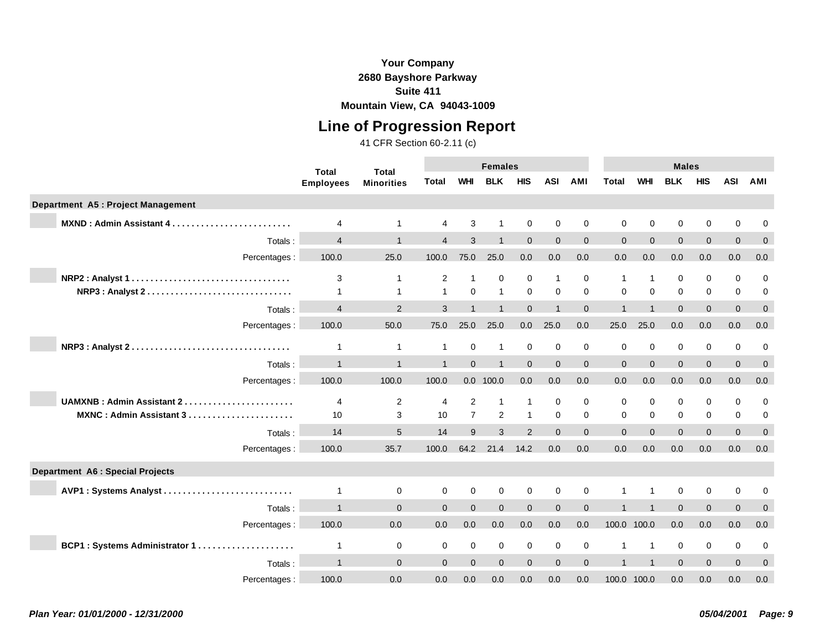### **Your Company 2680 Bayshore Parkway Suite 411**

**Mountain View, CA 94043-1009**

## **Line of Progression Report**

|                                         | <b>Total</b><br><b>Total</b> |                   |                | <b>Females</b> |                |              |                |                |              | <b>Males</b>   |             |              |              |              |
|-----------------------------------------|------------------------------|-------------------|----------------|----------------|----------------|--------------|----------------|----------------|--------------|----------------|-------------|--------------|--------------|--------------|
|                                         | <b>Employees</b>             | <b>Minorities</b> | Total          | <b>WHI</b>     | <b>BLK</b>     | <b>HIS</b>   | <b>ASI</b>     | <b>AMI</b>     | Total        | <b>WHI</b>     | <b>BLK</b>  | <b>HIS</b>   | <b>ASI</b>   | AMI          |
| Department A5 : Project Management      |                              |                   |                |                |                |              |                |                |              |                |             |              |              |              |
| MXND: Admin Assistant 4                 | 4                            | 1                 | 4              | 3              |                | $\mathbf 0$  | $\Omega$       | $\mathbf 0$    | $\Omega$     | $\Omega$       | 0           | $\mathbf 0$  | 0            | 0            |
| Totals:                                 | $\overline{4}$               |                   | $\overline{4}$ | 3              |                | $\mathbf{0}$ | $\mathbf{0}$   | $\mathbf 0$    | $\mathbf{0}$ | $\Omega$       | $\Omega$    | $\mathbf{0}$ | $\mathbf{0}$ | $\mathbf 0$  |
| Percentages:                            | 100.0                        | 25.0              | 100.0          | 75.0           | 25.0           | 0.0          | 0.0            | 0.0            | 0.0          | 0.0            | 0.0         | 0.0          | 0.0          | 0.0          |
| NRP2: Analyst 1                         | 3                            | $\mathbf 1$       | 2              | $\overline{1}$ | 0              | $\mathbf 0$  | $\overline{1}$ | 0              | 1            | $\mathbf 1$    | 0           | 0            | 0            | 0            |
| NRP3 : Analyst 2                        | 1                            | 1                 | $\mathbf{1}$   | $\Omega$       | $\mathbf{1}$   | $\mathbf 0$  | $\Omega$       | $\Omega$       | $\Omega$     | $\Omega$       | $\Omega$    | $\mathbf 0$  | 0            | 0            |
| Totals:                                 | $\overline{4}$               | 2                 | 3              |                |                | $\mathbf{0}$ | $\overline{ }$ | $\mathbf{0}$   |              |                | $\Omega$    | $\mathbf{0}$ | $\mathbf{0}$ | $\mathbf 0$  |
| Percentages:                            | 100.0                        | 50.0              | 75.0           | 25.0           | 25.0           | 0.0          | 25.0           | 0.0            | 25.0         | 25.0           | 0.0         | 0.0          | 0.0          | 0.0          |
|                                         | $\mathbf 1$                  | $\mathbf{1}$      | $\mathbf 1$    | $\mathbf 0$    | $\mathbf{1}$   | $\mathbf 0$  | $\mathbf 0$    | 0              | $\mathbf 0$  | $\mathbf 0$    | 0           | 0            | 0            | 0            |
| Totals:                                 | $\overline{1}$               | 1                 |                | $\Omega$       |                | $\Omega$     | $\Omega$       | $\mathbf 0$    | $\Omega$     | $\Omega$       | $\Omega$    | $\mathbf{0}$ | $\Omega$     | $\Omega$     |
| Percentages :                           | 100.0                        | 100.0             | 100.0          |                | 0.0 100.0      | 0.0          | 0.0            | 0.0            | 0.0          | 0.0            | 0.0         | 0.0          | 0.0          | 0.0          |
| <b>UAMXNB: Admin Assistant 2.</b>       | 4                            | $\overline{2}$    | 4              | 2              | $\mathbf{1}$   | $\mathbf{1}$ | $\Omega$       | $\mathbf 0$    | $\mathbf 0$  | $\mathbf 0$    | $\mathbf 0$ | $\mathbf 0$  | $\Omega$     | 0            |
| MXNC: Admin Assistant 3                 | 10                           | 3                 | 10             | $\overline{7}$ | $\overline{2}$ | $\mathbf{1}$ | $\mathbf 0$    | $\mathbf 0$    | $\mathbf 0$  | $\mathbf 0$    | 0           | $\mathbf 0$  | 0            | 0            |
| Totals:                                 | 14                           | 5                 | 14             | 9              | 3              | 2            | $\Omega$       | $\Omega$       | $\Omega$     | $\Omega$       | $\Omega$    | $\Omega$     | $\Omega$     | $\Omega$     |
| Percentages :                           | 100.0                        | 35.7              | 100.0          | 64.2           | 21.4           | 14.2         | 0.0            | 0.0            | 0.0          | 0.0            | 0.0         | 0.0          | 0.0          | 0.0          |
| <b>Department A6 : Special Projects</b> |                              |                   |                |                |                |              |                |                |              |                |             |              |              |              |
| AVP1: Systems Analyst                   | $\mathbf{1}$                 | 0                 | 0              | $\mathbf 0$    | $\mathbf 0$    | $\mathbf 0$  | $\mathbf 0$    | 0              |              | -1             | $\mathbf 0$ | $\mathbf 0$  | 0            | 0            |
| Totals:                                 | $\overline{1}$               | $\Omega$          | $\Omega$       | $\Omega$       | $\Omega$       | $\Omega$     | $\Omega$       | $\mathbf{0}$   |              |                | $\Omega$    | $\mathbf{0}$ | $\Omega$     | $\mathbf{0}$ |
| Percentages:                            | 100.0                        | 0.0               | 0.0            | 0.0            | 0.0            | 0.0          | 0.0            | 0.0            | 100.0 100.0  |                | 0.0         | 0.0          | 0.0          | 0.0          |
| BCP1: Systems Administrator 1           | 1                            | 0                 | 0              | $\mathbf 0$    | $\mathbf 0$    | $\mathbf 0$  | $\mathbf 0$    | $\mathbf 0$    |              | $\overline{1}$ | 0           | $\mathbf 0$  | 0            | 0            |
| Totals:                                 |                              | $\Omega$          | $\Omega$       | $\Omega$       | $\Omega$       | $\Omega$     | $\Omega$       | $\overline{0}$ |              |                | $\Omega$    | $\Omega$     | $\Omega$     | $\mathbf{0}$ |
| Percentages:                            | 100.0                        | 0.0               | 0.0            | 0.0            | 0.0            | 0.0          | 0.0            | 0.0            | 100.0 100.0  |                | 0.0         | 0.0          | 0.0          | 0.0          |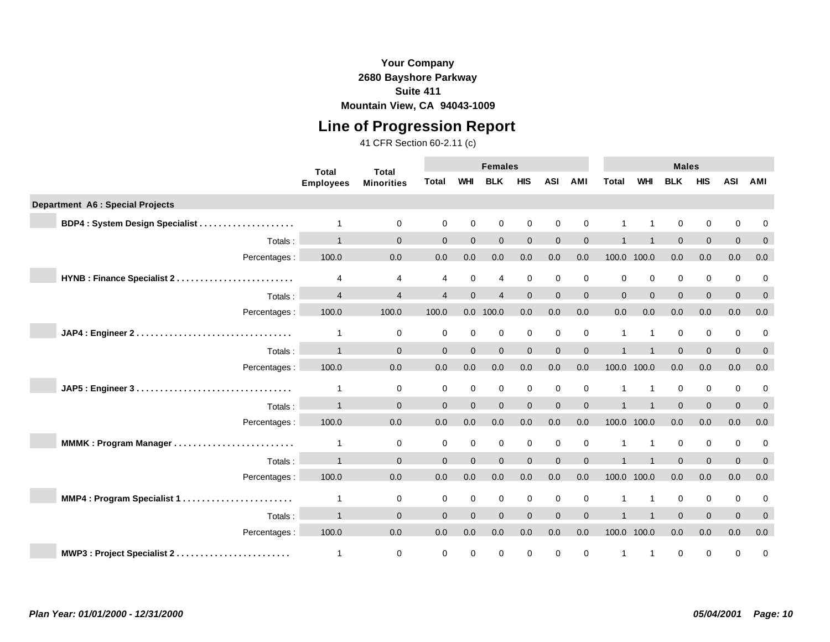## **Line of Progression Report**

|                                         | <b>Total</b><br><b>Total</b> |                   |                | <b>Females</b> |                          |                |             |              |              | <b>Males</b>   |             |                |             |              |
|-----------------------------------------|------------------------------|-------------------|----------------|----------------|--------------------------|----------------|-------------|--------------|--------------|----------------|-------------|----------------|-------------|--------------|
|                                         | <b>Employees</b>             | <b>Minorities</b> | <b>Total</b>   | <b>WHI</b>     | <b>BLK</b>               | <b>HIS</b>     | <b>ASI</b>  | <b>AMI</b>   | <b>Total</b> | <b>WHI</b>     | <b>BLK</b>  | <b>HIS</b>     | <b>ASI</b>  | AMI          |
| <b>Department A6 : Special Projects</b> |                              |                   |                |                |                          |                |             |              |              |                |             |                |             |              |
| BDP4: System Design Specialist          | $\overline{1}$               | $\mathbf 0$       | 0              | $\mathbf 0$    | $\mathbf 0$              | 0              | $\mathbf 0$ | 0            |              |                | $\mathbf 0$ | 0              | 0           | 0            |
| Totals:                                 |                              | $\Omega$          | $\Omega$       | $\Omega$       | $\Omega$                 | $\overline{0}$ | $\Omega$    | $\mathbf{0}$ |              |                | $\Omega$    | $\overline{0}$ | $\Omega$    | $\mathbf{0}$ |
| Percentages :                           | 100.0                        | 0.0               | 0.0            | 0.0            | 0.0                      | 0.0            | 0.0         | 0.0          |              | 100.0 100.0    | 0.0         | 0.0            | 0.0         | 0.0          |
| HYNB : Finance Specialist 2             | 4                            | 4                 | 4              | $\mathbf 0$    | $\overline{4}$           | $\mathbf 0$    | $\mathbf 0$ | 0            | $\mathbf 0$  | $\mathbf 0$    | $\mathbf 0$ | $\pmb{0}$      | 0           | $\mathbf 0$  |
| Totals:                                 | $\overline{\mathbf{4}}$      | $\overline{4}$    | $\overline{4}$ | $\Omega$       | $\overline{\mathcal{L}}$ | $\Omega$       | $\Omega$    | $\Omega$     | $\Omega$     | $\Omega$       | $\Omega$    | $\overline{0}$ | $\Omega$    | $\mathbf 0$  |
| Percentages :                           | 100.0                        | 100.0             | 100.0          |                | $0.0$ 100.0              | 0.0            | 0.0         | 0.0          | 0.0          | 0.0            | 0.0         | $0.0\,$        | 0.0         | 0.0          |
|                                         | 1                            | 0                 | 0              | $\mathbf 0$    | $\mathbf 0$              | $\mathbf 0$    | $\mathbf 0$ | 0            | -1           | $\mathbf{1}$   | 0           | $\mathbf 0$    | $\mathbf 0$ | 0            |
| Totals:                                 |                              | $\mathbf{0}$      | $\Omega$       | $\Omega$       | $\mathbf 0$              | $\overline{0}$ | $\Omega$    | $\mathbf 0$  |              |                | $\Omega$    | $\overline{0}$ | $\Omega$    | $\mathbf{0}$ |
| Percentages :                           | 100.0                        | 0.0               | 0.0            | 0.0            | 0.0                      | 0.0            | 0.0         | 0.0          | 100.0        | 100.0          | 0.0         | 0.0            | 0.0         | 0.0          |
|                                         | $\overline{1}$               | $\mathbf 0$       | $\mathbf 0$    | $\mathbf 0$    | $\mathbf 0$              | $\mathbf 0$    | $\mathbf 0$ | 0            |              | $\mathbf{1}$   | $\Omega$    | $\mathbf 0$    | 0           | 0            |
| Totals:                                 |                              | $\Omega$          | $\Omega$       | $\Omega$       | $\Omega$                 | $\overline{0}$ | $\Omega$    | $\mathbf 0$  |              |                | $\Omega$    | $\overline{0}$ | $\Omega$    | $\mathbf{0}$ |
| Percentages :                           | 100.0                        | 0.0               | 0.0            | 0.0            | 0.0                      | 0.0            | 0.0         | 0.0          |              | 100.0 100.0    | 0.0         | 0.0            | 0.0         | 0.0          |
| MMMK: Program Manager                   | 1                            | 0                 | $\mathbf 0$    | $\mathbf 0$    | $\mathbf 0$              | 0              | $\mathbf 0$ | 0            |              | $\mathbf{1}$   | $\mathbf 0$ | $\mathbf 0$    | $\mathbf 0$ | 0            |
| Totals:                                 | $\overline{1}$               | $\Omega$          | $\Omega$       | $\Omega$       | $\Omega$                 | $\overline{0}$ | $\Omega$    | $\mathbf 0$  |              |                | $\Omega$    | $\mathbf{0}$   | $\Omega$    | $\mathbf 0$  |
| Percentages :                           | 100.0                        | 0.0               | 0.0            | 0.0            | 0.0                      | 0.0            | 0.0         | $0.0\,$      |              | 100.0 100.0    | 0.0         | 0.0            | 0.0         | 0.0          |
|                                         | $\overline{1}$               | $\mathbf 0$       | $\mathbf 0$    | $\mathbf 0$    | $\mathbf 0$              | $\mathbf 0$    | $\mathbf 0$ | 0            |              | $\overline{1}$ | $\mathbf 0$ | $\mathbf 0$    | $\mathbf 0$ | 0            |
| Totals:                                 | $\overline{1}$               | $\Omega$          | $\Omega$       | $\Omega$       | $\Omega$                 | $\overline{0}$ | $\Omega$    | $\mathbf 0$  |              |                | $\Omega$    | $\overline{0}$ | $\Omega$    | $\mathbf 0$  |
| Percentages :                           | 100.0                        | 0.0               | 0.0            | 0.0            | 0.0                      | 0.0            | 0.0         | $0.0\,$      |              | 100.0 100.0    | 0.0         | 0.0            | 0.0         | 0.0          |
| MWP3: Project Specialist 2              | 1                            | 0                 | 0              | $\mathbf 0$    | 0                        | 0              | $\mathbf 0$ | 0            |              | $\overline{1}$ | 0           | $\mathbf 0$    | 0           | 0            |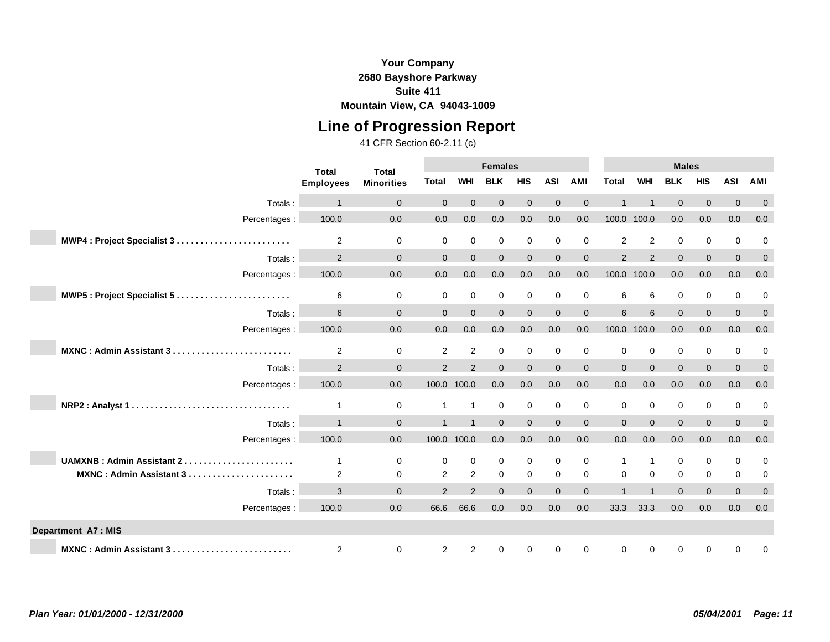## **Line of Progression Report**

|                                  | <b>Total</b>     | <b>Total</b>      |                |                | <b>Females</b> |                |              |                |                |                | <b>Males</b> |                |                |              |
|----------------------------------|------------------|-------------------|----------------|----------------|----------------|----------------|--------------|----------------|----------------|----------------|--------------|----------------|----------------|--------------|
|                                  | <b>Employees</b> | <b>Minorities</b> | Total          | <b>WHI</b>     | <b>BLK</b>     | <b>HIS</b>     | <b>ASI</b>   | AMI            | <b>Total</b>   | <b>WHI</b>     | <b>BLK</b>   | <b>HIS</b>     | <b>ASI</b>     | AMI          |
| Totals:                          |                  | $\mathbf 0$       | $\Omega$       | $\Omega$       | $\mathbf{0}$   | $\mathbf{0}$   | $\Omega$     | $\mathbf{0}$   |                |                | $\Omega$     | $\mathbf{0}$   | $\Omega$       | $\mathbf 0$  |
| Percentages :                    | 100.0            | 0.0               | 0.0            | 0.0            | 0.0            | 0.0            | 0.0          | 0.0            | 100.0 100.0    |                | 0.0          | $0.0\,$        | 0.0            | 0.0          |
| MWP4: Project Specialist 3       | $\overline{2}$   | $\mathbf 0$       | 0              | $\mathbf 0$    | $\mathbf 0$    | $\pmb{0}$      | $\mathbf 0$  | 0              | 2              | 2              | $\mathbf 0$  | 0              | $\mathbf 0$    | 0            |
| Totals:                          | 2                | $\mathbf{0}$      | $\overline{0}$ | $\mathbf{0}$   | $\mathbf{0}$   | $\mathbf 0$    | $\mathbf{0}$ | $\overline{0}$ | $\overline{2}$ | $\overline{2}$ | $\mathbf{0}$ | $\mathbf{0}$   | $\mathbf{0}$   | $\mathbf 0$  |
| Percentages :                    | 100.0            | 0.0               | 0.0            | 0.0            | 0.0            | 0.0            | 0.0          | 0.0            | 100.0          | 100.0          | 0.0          | 0.0            | 0.0            | 0.0          |
| MWP5: Project Specialist 5       | 6                | $\mathbf 0$       | 0              | $\mathbf 0$    | $\mathbf 0$    | 0              | 0            | 0              | 6              | 6              | $\mathbf 0$  | 0              | $\mathbf 0$    | 0            |
| Totals:                          | 6                | $\Omega$          | $\Omega$       | $\Omega$       | $\Omega$       | $\mathbf{0}$   | $\Omega$     | $\mathbf{0}$   | 6              | 6              | $\Omega$     | $\mathbf{0}$   | $\Omega$       | $\mathbf{0}$ |
| Percentages :                    | 100.0            | 0.0               | 0.0            | 0.0            | 0.0            | 0.0            | 0.0          | 0.0            | 100.0          | 100.0          | 0.0          | 0.0            | 0.0            | 0.0          |
| MXNC: Admin Assistant 3          | 2                | 0                 | $\overline{2}$ | 2              | $\mathbf 0$    | 0              | $\mathbf 0$  | $\mathbf 0$    | $\mathbf 0$    | $\mathbf 0$    | $\mathbf 0$  | 0              | 0              | 0            |
| Totals:                          | 2                | $\Omega$          | 2              | 2              | $\Omega$       | $\Omega$       | $\Omega$     | $\overline{0}$ | $\Omega$       | $\Omega$       | $\Omega$     | $\overline{0}$ | $\Omega$       | $\mathbf{0}$ |
| Percentages:                     | 100.0            | 0.0               | 100.0 100.0    |                | 0.0            | 0.0            | 0.0          | 0.0            | 0.0            | 0.0            | 0.0          | 0.0            | 0.0            | 0.0          |
|                                  | $\overline{1}$   | $\mathbf 0$       | $\mathbf 1$    | $\mathbf{1}$   | $\mathbf 0$    | $\mathbf 0$    | $\mathbf 0$  | 0              | $\mathbf 0$    | $\mathbf 0$    | 0            | $\mathbf 0$    | $\mathbf 0$    | $\mathbf 0$  |
| Totals:                          |                  | $\Omega$          |                |                | $\Omega$       | $\overline{0}$ | $\Omega$     | $\overline{0}$ | $\Omega$       | $\Omega$       | $\Omega$     | $\mathbf{0}$   | $\Omega$       | $\mathbf{0}$ |
| Percentages:                     | 100.0            | 0.0               | 100.0 100.0    |                | 0.0            | 0.0            | 0.0          | 0.0            | 0.0            | 0.0            | 0.0          | 0.0            | 0.0            | 0.0          |
| <b>UAMXNB: Admin Assistant 2</b> | 1                | $\mathbf 0$       | 0              | $\mathbf 0$    | $\mathbf 0$    | $\mathbf 0$    | $\mathbf 0$  | $\mathbf 0$    | -1             | $\mathbf{1}$   | $\mathbf 0$  | 0              | $\mathbf 0$    | 0            |
| MXNC: Admin Assistant 3          | 2                | $\mathbf 0$       | $\overline{2}$ | 2              | $\mathbf 0$    | $\mathbf 0$    | $\mathbf 0$  | 0              | $\mathbf 0$    | $\mathbf 0$    | $\mathbf 0$  | $\mathbf 0$    | $\mathbf 0$    | 0            |
| Totals:                          | 3                | $\mathbf{0}$      | $\overline{2}$ | 2              | $\Omega$       | $\overline{0}$ | $\Omega$     | $\overline{0}$ |                | $\overline{1}$ | $\Omega$     | $\mathbf{0}$   | $\overline{0}$ | $\mathbf{0}$ |
| Percentages :                    | 100.0            | 0.0               | 66.6           | 66.6           | 0.0            | 0.0            | 0.0          | 0.0            | 33.3           | 33.3           | 0.0          | 0.0            | 0.0            | 0.0          |
| <b>Department A7: MIS</b>        |                  |                   |                |                |                |                |              |                |                |                |              |                |                |              |
| MXNC: Admin Assistant 3          | $\overline{c}$   | $\mathbf 0$       | $\overline{a}$ | $\overline{2}$ | 0              | 0              | $\mathbf 0$  | 0              | 0              | $\mathbf 0$    | $\mathbf 0$  | 0              | $\mathbf 0$    | 0            |